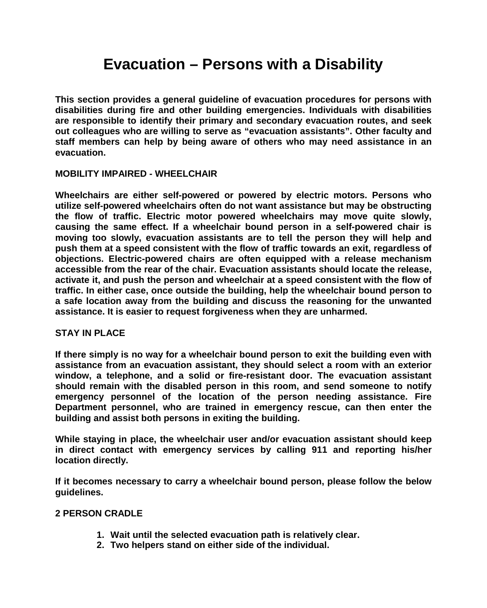# **Evacuation – Persons with a Disability**

**This section provides a general guideline of evacuation procedures for persons with disabilities during fire and other building emergencies. Individuals with disabilities are responsible to identify their primary and secondary evacuation routes, and seek out colleagues who are willing to serve as "evacuation assistants". Other faculty and staff members can help by being aware of others who may need assistance in an evacuation.**

# **MOBILITY IMPAIRED - WHEELCHAIR**

**Wheelchairs are either self-powered or powered by electric motors. Persons who utilize self-powered wheelchairs often do not want assistance but may be obstructing the flow of traffic. Electric motor powered wheelchairs may move quite slowly, causing the same effect. If a wheelchair bound person in a self-powered chair is moving too slowly, evacuation assistants are to tell the person they will help and push them at a speed consistent with the flow of traffic towards an exit, regardless of objections. Electric-powered chairs are often equipped with a release mechanism accessible from the rear of the chair. Evacuation assistants should locate the release, activate it, and push the person and wheelchair at a speed consistent with the flow of traffic. In either case, once outside the building, help the wheelchair bound person to a safe location away from the building and discuss the reasoning for the unwanted assistance. It is easier to request forgiveness when they are unharmed.** 

# **STAY IN PLACE**

**If there simply is no way for a wheelchair bound person to exit the building even with assistance from an evacuation assistant, they should select a room with an exterior window, a telephone, and a solid or fire-resistant door. The evacuation assistant should remain with the disabled person in this room, and send someone to notify emergency personnel of the location of the person needing assistance. Fire Department personnel, who are trained in emergency rescue, can then enter the building and assist both persons in exiting the building.**

**While staying in place, the wheelchair user and/or evacuation assistant should keep in direct contact with emergency services by calling 911 and reporting his/her location directly.**

**If it becomes necessary to carry a wheelchair bound person, please follow the below guidelines.** 

# **2 PERSON CRADLE**

- **1. Wait until the selected evacuation path is relatively clear.**
- **2. Two helpers stand on either side of the individual.**